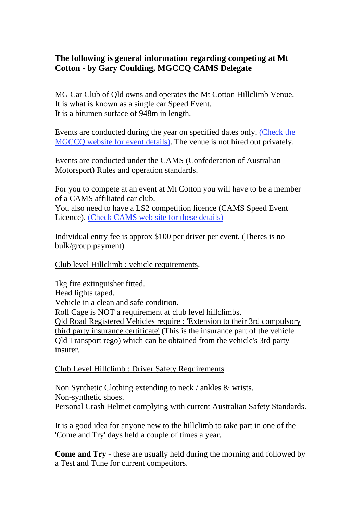## **The following is general information regarding competing at Mt Cotton - by Gary Coulding, MGCCQ CAMS Delegate**

MG Car Club of Qld owns and operates the Mt Cotton Hillclimb Venue. It is what is known as a single car Speed Event. It is a bitumen surface of 948m in length.

Events are conducted during the year on specified dates only. (Check the MGCCQ website for event details). The venue is not hired out privately.

Events are conducted under the CAMS (Confederation of Australian Motorsport) Rules and operation standards.

For you to compete at an event at Mt Cotton you will have to be a member of a CAMS affiliated car club. You also need to have a LS2 competition licence (CAMS Speed Event

Licence). (Check CAMS web site for these details)

Individual entry fee is approx \$100 per driver per event. (Theres is no bulk/group payment)

Club level Hillclimb : vehicle requirements.

1kg fire extinguisher fitted. Head lights taped. Vehicle in a clean and safe condition. Roll Cage is NOT a requirement at club level hillclimbs. Qld Road Registered Vehicles require : 'Extension to their 3rd compulsory third party insurance certificate' (This is the insurance part of the vehicle Qld Transport rego) which can be obtained from the vehicle's 3rd party insurer.

### Club Level Hillclimb : Driver Safety Requirements

Non Synthetic Clothing extending to neck / ankles & wrists. Non-synthetic shoes. Personal Crash Helmet complying with current Australian Safety Standards.

It is a good idea for anyone new to the hillclimb to take part in one of the 'Come and Try' days held a couple of times a year.

**Come and Try -** these are usually held during the morning and followed by a Test and Tune for current competitors.